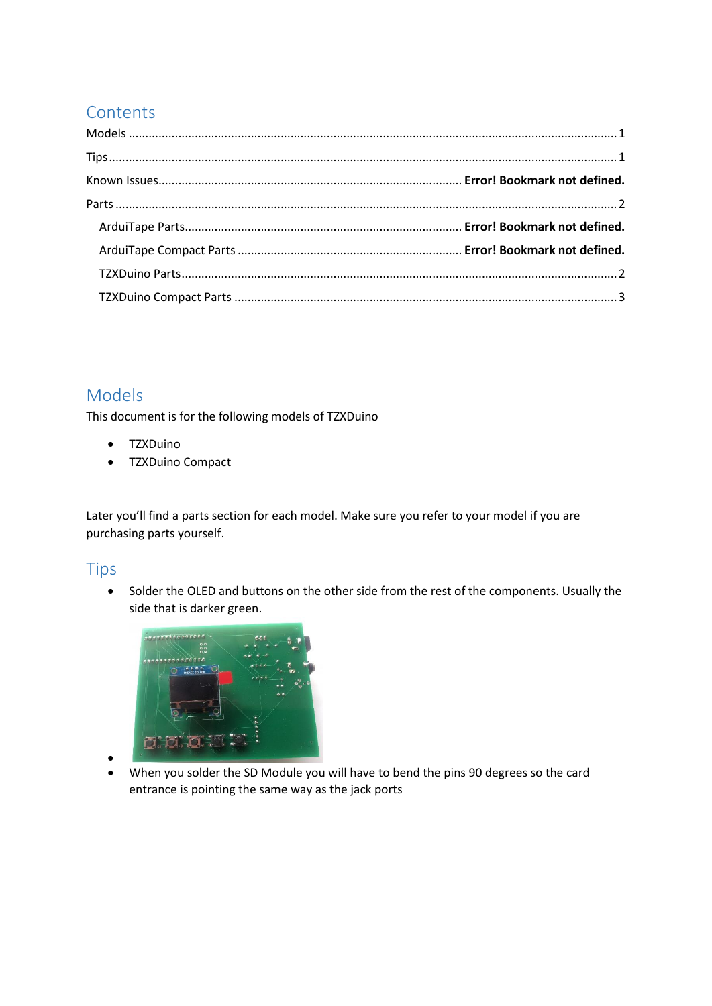# **Contents**

# Models

This document is for the following models of TZXDuino

- TZXDuino
- TZXDuino Compact

Later you'll find a parts section for each model. Make sure you refer to your model if you are purchasing parts yourself.

### Tips

• Solder the OLED and buttons on the other side from the rest of the components. Usually the side that is darker green.



- •
- When you solder the SD Module you will have to bend the pins 90 degrees so the card entrance is pointing the same way as the jack ports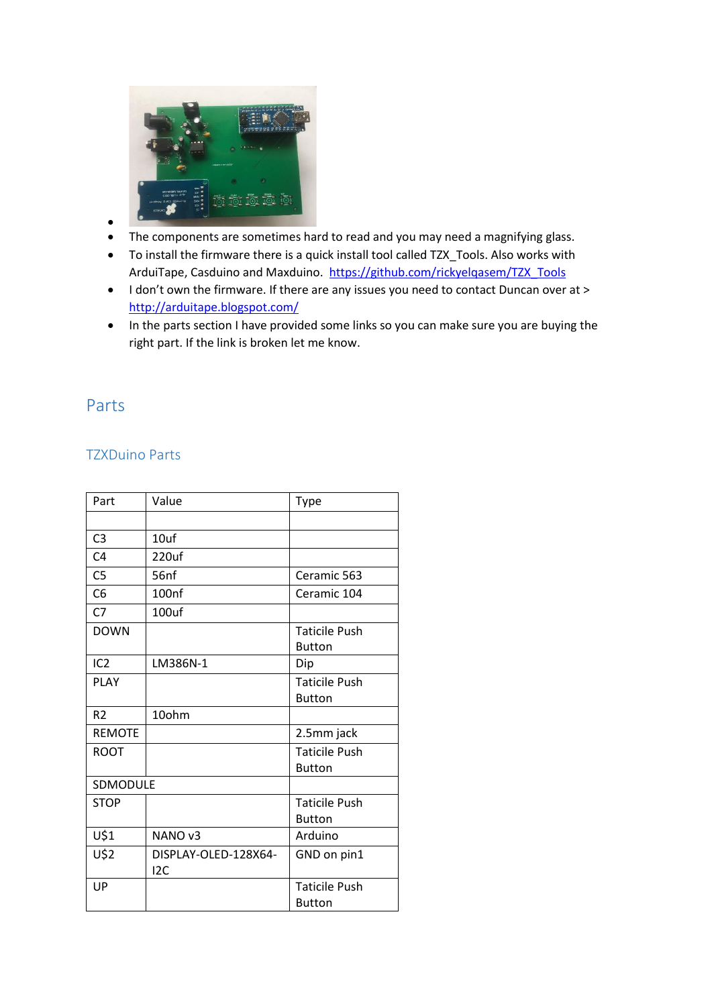

- •
- The components are sometimes hard to read and you may need a magnifying glass.
- To install the firmware there is a quick install tool called TZX\_Tools. Also works with ArduiTape, Casduino and Maxduino. [https://github.com/rickyelqasem/TZX\\_Tools](https://github.com/rickyelqasem/TZX_Tools)
- I don't own the firmware. If there are any issues you need to contact Duncan over at > <http://arduitape.blogspot.com/>
- In the parts section I have provided some links so you can make sure you are buying the right part. If the link is broken let me know.

### Parts

#### TZXDuino Parts

| Part            | Value                | <b>Type</b>          |
|-----------------|----------------------|----------------------|
|                 |                      |                      |
| C <sub>3</sub>  | 10uf                 |                      |
| C <sub>4</sub>  | 220uf                |                      |
| C <sub>5</sub>  | 56nf                 | Ceramic 563          |
| C <sub>6</sub>  | 100 <sub>nf</sub>    | Ceramic 104          |
| C <sub>7</sub>  | 100uf                |                      |
| <b>DOWN</b>     |                      | <b>Taticile Push</b> |
|                 |                      | <b>Button</b>        |
| IC <sub>2</sub> | LM386N-1             | Dip                  |
| <b>PLAY</b>     |                      | <b>Taticile Push</b> |
|                 |                      | <b>Button</b>        |
| R <sub>2</sub>  | 10ohm                |                      |
| <b>REMOTE</b>   |                      | 2.5mm jack           |
| <b>ROOT</b>     |                      | <b>Taticile Push</b> |
|                 |                      | <b>Button</b>        |
| SDMODULE        |                      |                      |
| <b>STOP</b>     |                      | <b>Taticile Push</b> |
|                 |                      | <b>Button</b>        |
| U\$1            | NANO <sub>v3</sub>   | Arduino              |
| U\$2            | DISPLAY-OLED-128X64- | GND on pin1          |
|                 | 12C                  |                      |
| UP              |                      | <b>Taticile Push</b> |
|                 |                      | <b>Button</b>        |